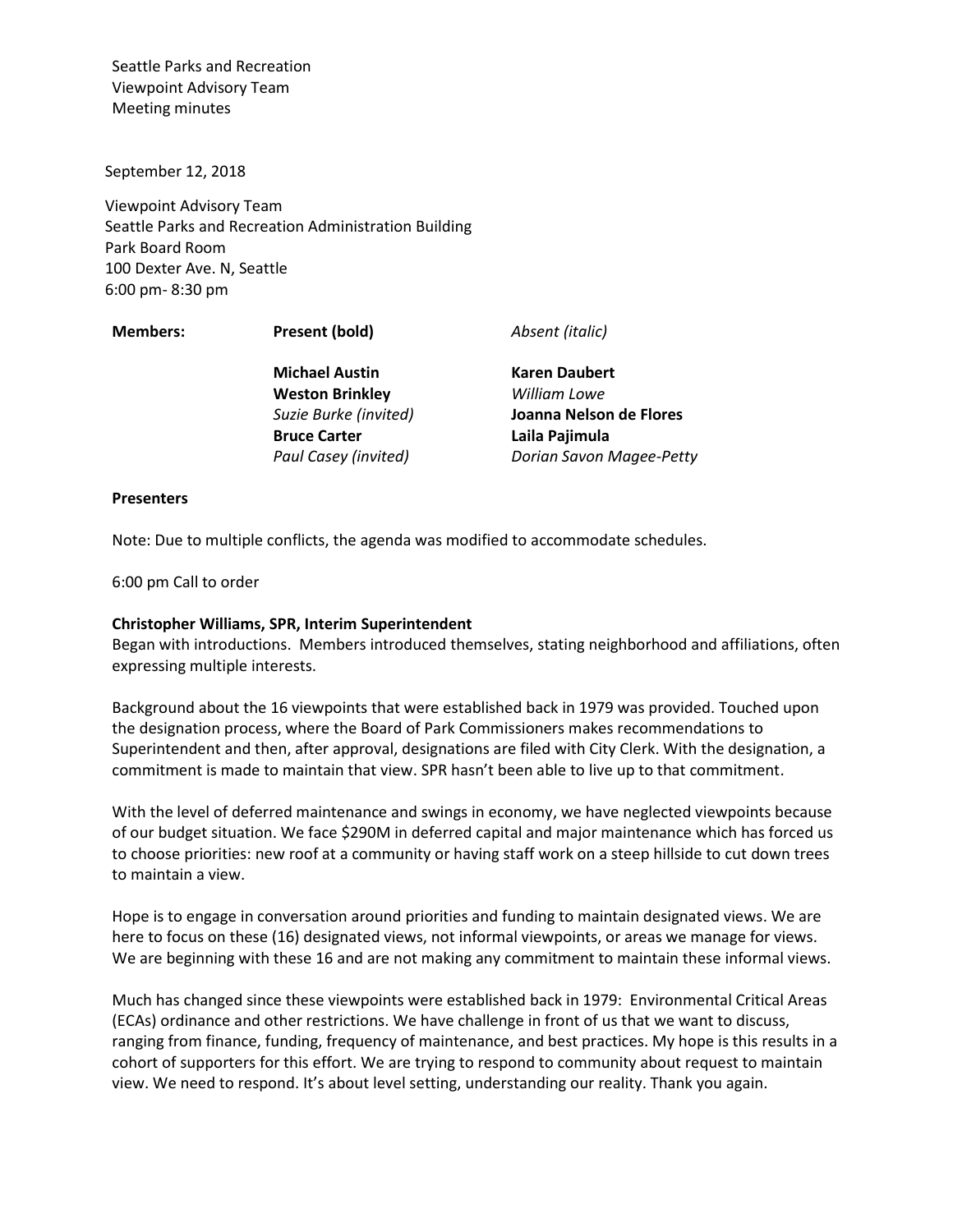September 12, 2018

Viewpoint Advisory Team Seattle Parks and Recreation Administration Building Park Board Room 100 Dexter Ave. N, Seattle 6:00 pm- 8:30 pm

**Members: Present (bold)** *Absent (italic)*

**Michael Austin Weston Brinkley** *Suzie Burke (invited)* **Bruce Carter** *Paul Casey (invited)*

**Karen Daubert** *William Lowe*  **Joanna Nelson de Flores Laila Pajimula** *Dorian Savon Magee-Petty*

#### **Presenters**

Note: Due to multiple conflicts, the agenda was modified to accommodate schedules.

6:00 pm Call to order

### **Christopher Williams, SPR, Interim Superintendent**

Began with introductions. Members introduced themselves, stating neighborhood and affiliations, often expressing multiple interests.

Background about the 16 viewpoints that were established back in 1979 was provided. Touched upon the designation process, where the Board of Park Commissioners makes recommendations to Superintendent and then, after approval, designations are filed with City Clerk. With the designation, a commitment is made to maintain that view. SPR hasn't been able to live up to that commitment.

With the level of deferred maintenance and swings in economy, we have neglected viewpoints because of our budget situation. We face \$290M in deferred capital and major maintenance which has forced us to choose priorities: new roof at a community or having staff work on a steep hillside to cut down trees to maintain a view.

Hope is to engage in conversation around priorities and funding to maintain designated views. We are here to focus on these (16) designated views, not informal viewpoints, or areas we manage for views. We are beginning with these 16 and are not making any commitment to maintain these informal views.

Much has changed since these viewpoints were established back in 1979: Environmental Critical Areas (ECAs) ordinance and other restrictions. We have challenge in front of us that we want to discuss, ranging from finance, funding, frequency of maintenance, and best practices. My hope is this results in a cohort of supporters for this effort. We are trying to respond to community about request to maintain view. We need to respond. It's about level setting, understanding our reality. Thank you again.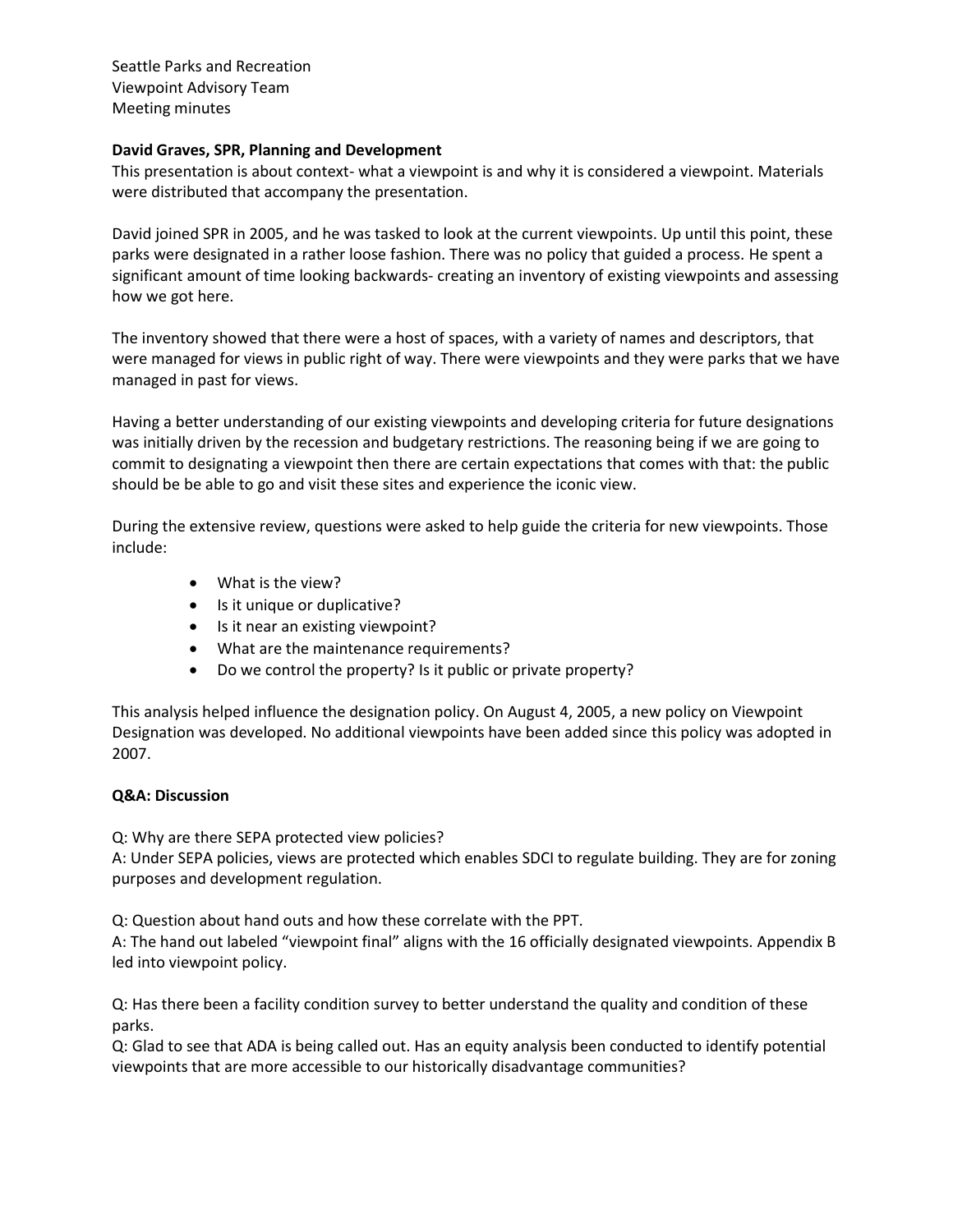### **David Graves, SPR, Planning and Development**

This presentation is about context- what a viewpoint is and why it is considered a viewpoint. Materials were distributed that accompany the presentation.

David joined SPR in 2005, and he was tasked to look at the current viewpoints. Up until this point, these parks were designated in a rather loose fashion. There was no policy that guided a process. He spent a significant amount of time looking backwards- creating an inventory of existing viewpoints and assessing how we got here.

The inventory showed that there were a host of spaces, with a variety of names and descriptors, that were managed for views in public right of way. There were viewpoints and they were parks that we have managed in past for views.

Having a better understanding of our existing viewpoints and developing criteria for future designations was initially driven by the recession and budgetary restrictions. The reasoning being if we are going to commit to designating a viewpoint then there are certain expectations that comes with that: the public should be be able to go and visit these sites and experience the iconic view.

During the extensive review, questions were asked to help guide the criteria for new viewpoints. Those include:

- What is the view?
- Is it unique or duplicative?
- Is it near an existing viewpoint?
- What are the maintenance requirements?
- Do we control the property? Is it public or private property?

This analysis helped influence the designation policy. On August 4, 2005, a new policy on Viewpoint Designation was developed. No additional viewpoints have been added since this policy was adopted in 2007.

### **Q&A: Discussion**

Q: Why are there SEPA protected view policies?

A: Under SEPA policies, views are protected which enables SDCI to regulate building. They are for zoning purposes and development regulation.

Q: Question about hand outs and how these correlate with the PPT.

A: The hand out labeled "viewpoint final" aligns with the 16 officially designated viewpoints. Appendix B led into viewpoint policy.

Q: Has there been a facility condition survey to better understand the quality and condition of these parks.

Q: Glad to see that ADA is being called out. Has an equity analysis been conducted to identify potential viewpoints that are more accessible to our historically disadvantage communities?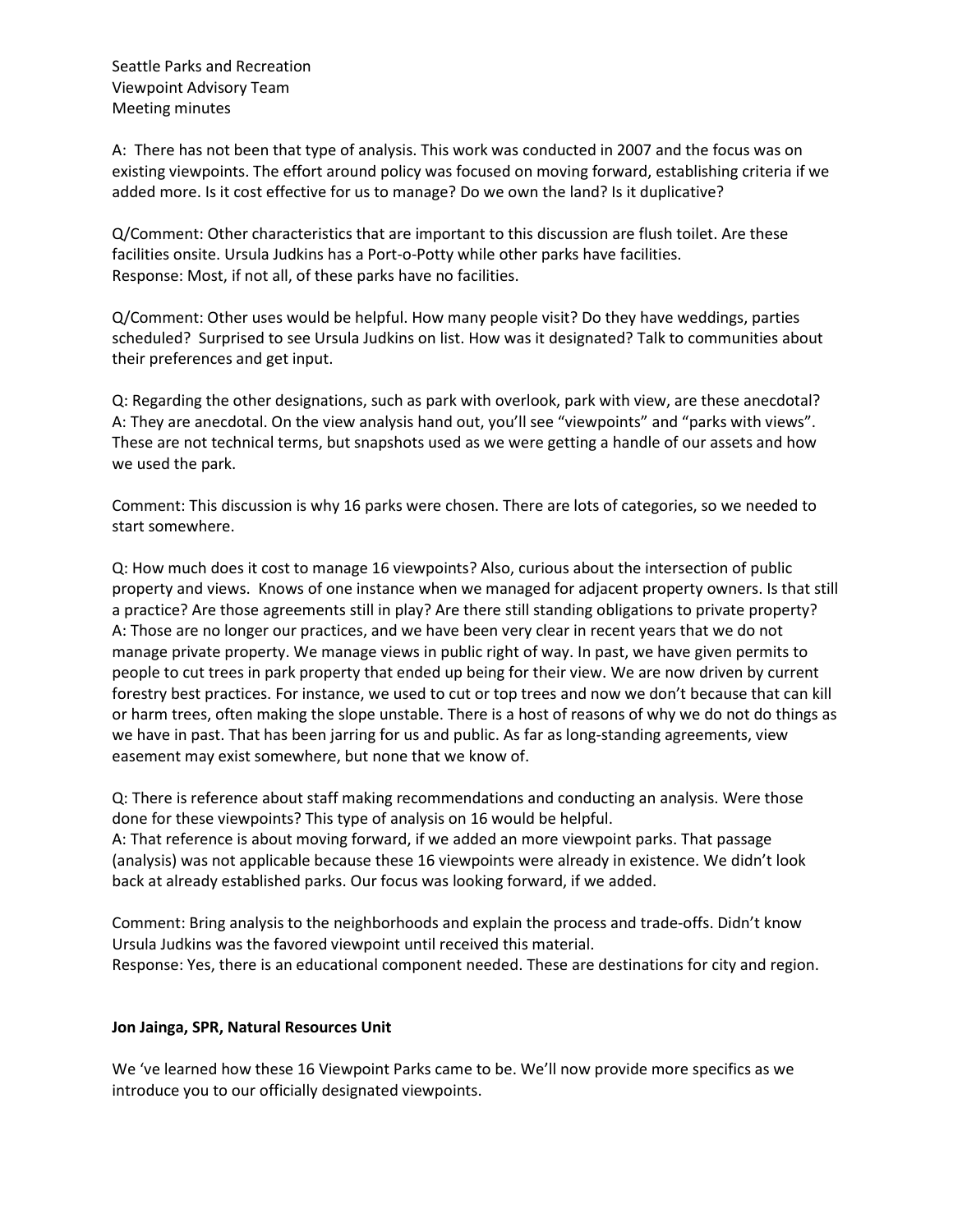A: There has not been that type of analysis. This work was conducted in 2007 and the focus was on existing viewpoints. The effort around policy was focused on moving forward, establishing criteria if we added more. Is it cost effective for us to manage? Do we own the land? Is it duplicative?

Q/Comment: Other characteristics that are important to this discussion are flush toilet. Are these facilities onsite. Ursula Judkins has a Port-o-Potty while other parks have facilities. Response: Most, if not all, of these parks have no facilities.

Q/Comment: Other uses would be helpful. How many people visit? Do they have weddings, parties scheduled? Surprised to see Ursula Judkins on list. How was it designated? Talk to communities about their preferences and get input.

Q: Regarding the other designations, such as park with overlook, park with view, are these anecdotal? A: They are anecdotal. On the view analysis hand out, you'll see "viewpoints" and "parks with views". These are not technical terms, but snapshots used as we were getting a handle of our assets and how we used the park.

Comment: This discussion is why 16 parks were chosen. There are lots of categories, so we needed to start somewhere.

Q: How much does it cost to manage 16 viewpoints? Also, curious about the intersection of public property and views. Knows of one instance when we managed for adjacent property owners. Is that still a practice? Are those agreements still in play? Are there still standing obligations to private property? A: Those are no longer our practices, and we have been very clear in recent years that we do not manage private property. We manage views in public right of way. In past, we have given permits to people to cut trees in park property that ended up being for their view. We are now driven by current forestry best practices. For instance, we used to cut or top trees and now we don't because that can kill or harm trees, often making the slope unstable. There is a host of reasons of why we do not do things as we have in past. That has been jarring for us and public. As far as long-standing agreements, view easement may exist somewhere, but none that we know of.

Q: There is reference about staff making recommendations and conducting an analysis. Were those done for these viewpoints? This type of analysis on 16 would be helpful. A: That reference is about moving forward, if we added an more viewpoint parks. That passage (analysis) was not applicable because these 16 viewpoints were already in existence. We didn't look back at already established parks. Our focus was looking forward, if we added.

Comment: Bring analysis to the neighborhoods and explain the process and trade-offs. Didn't know Ursula Judkins was the favored viewpoint until received this material. Response: Yes, there is an educational component needed. These are destinations for city and region.

### **Jon Jainga, SPR, Natural Resources Unit**

We 've learned how these 16 Viewpoint Parks came to be. We'll now provide more specifics as we introduce you to our officially designated viewpoints.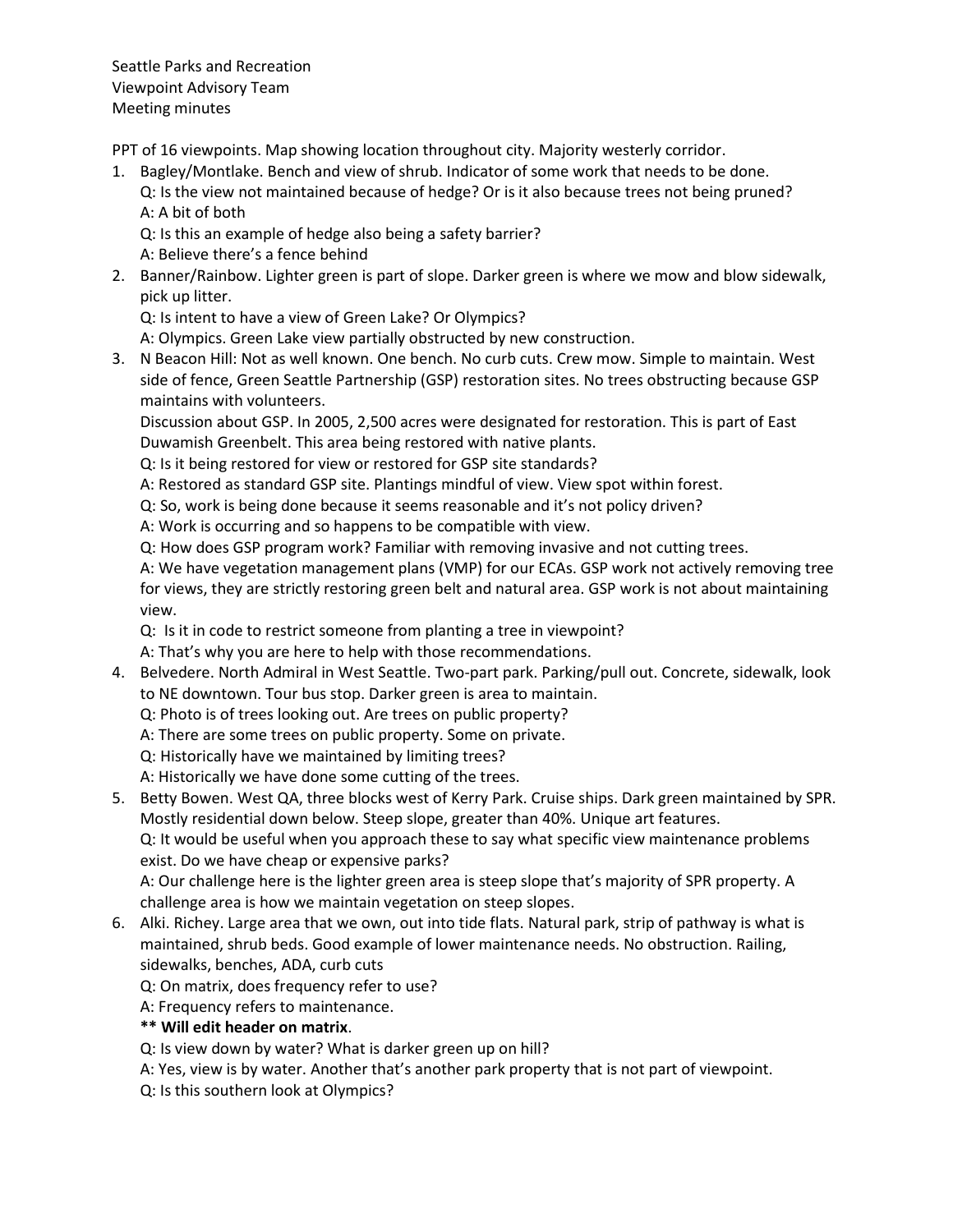PPT of 16 viewpoints. Map showing location throughout city. Majority westerly corridor.

1. Bagley/Montlake. Bench and view of shrub. Indicator of some work that needs to be done. Q: Is the view not maintained because of hedge? Or is it also because trees not being pruned? A: A bit of both

Q: Is this an example of hedge also being a safety barrier?

A: Believe there's a fence behind

2. Banner/Rainbow. Lighter green is part of slope. Darker green is where we mow and blow sidewalk, pick up litter.

Q: Is intent to have a view of Green Lake? Or Olympics?

A: Olympics. Green Lake view partially obstructed by new construction.

3. N Beacon Hill: Not as well known. One bench. No curb cuts. Crew mow. Simple to maintain. West side of fence, Green Seattle Partnership (GSP) restoration sites. No trees obstructing because GSP maintains with volunteers.

Discussion about GSP. In 2005, 2,500 acres were designated for restoration. This is part of East Duwamish Greenbelt. This area being restored with native plants.

Q: Is it being restored for view or restored for GSP site standards?

A: Restored as standard GSP site. Plantings mindful of view. View spot within forest.

Q: So, work is being done because it seems reasonable and it's not policy driven?

A: Work is occurring and so happens to be compatible with view.

Q: How does GSP program work? Familiar with removing invasive and not cutting trees.

A: We have vegetation management plans (VMP) for our ECAs. GSP work not actively removing tree for views, they are strictly restoring green belt and natural area. GSP work is not about maintaining view.

Q: Is it in code to restrict someone from planting a tree in viewpoint?

A: That's why you are here to help with those recommendations.

4. Belvedere. North Admiral in West Seattle. Two-part park. Parking/pull out. Concrete, sidewalk, look to NE downtown. Tour bus stop. Darker green is area to maintain.

Q: Photo is of trees looking out. Are trees on public property?

- A: There are some trees on public property. Some on private.
- Q: Historically have we maintained by limiting trees?
- A: Historically we have done some cutting of the trees.
- 5. Betty Bowen. West QA, three blocks west of Kerry Park. Cruise ships. Dark green maintained by SPR. Mostly residential down below. Steep slope, greater than 40%. Unique art features.

Q: It would be useful when you approach these to say what specific view maintenance problems exist. Do we have cheap or expensive parks?

A: Our challenge here is the lighter green area is steep slope that's majority of SPR property. A challenge area is how we maintain vegetation on steep slopes.

6. Alki. Richey. Large area that we own, out into tide flats. Natural park, strip of pathway is what is maintained, shrub beds. Good example of lower maintenance needs. No obstruction. Railing, sidewalks, benches, ADA, curb cuts

Q: On matrix, does frequency refer to use?

A: Frequency refers to maintenance.

# **\*\* Will edit header on matrix**.

Q: Is view down by water? What is darker green up on hill?

- A: Yes, view is by water. Another that's another park property that is not part of viewpoint.
- Q: Is this southern look at Olympics?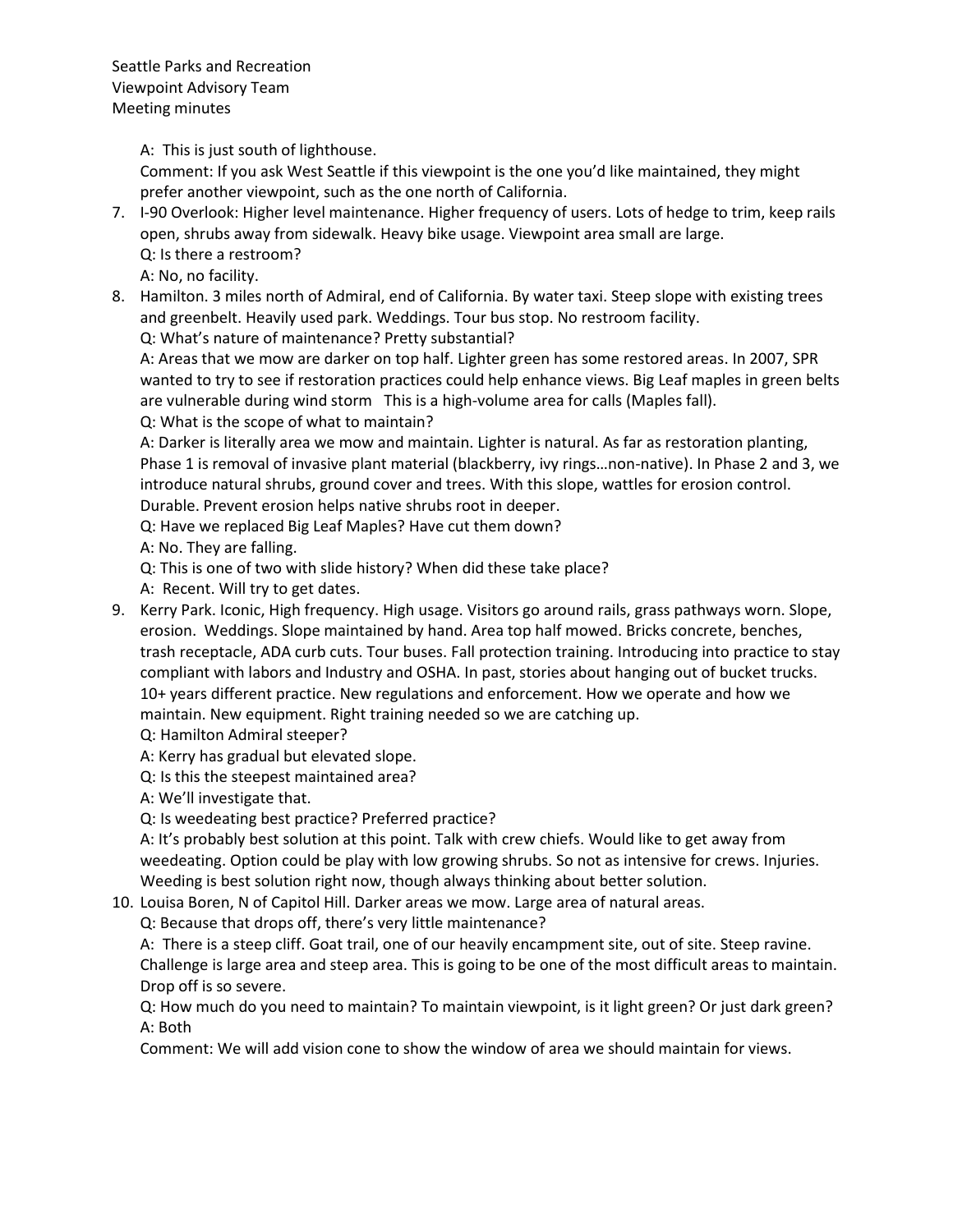A: This is just south of lighthouse.

Comment: If you ask West Seattle if this viewpoint is the one you'd like maintained, they might prefer another viewpoint, such as the one north of California.

- 7. I-90 Overlook: Higher level maintenance. Higher frequency of users. Lots of hedge to trim, keep rails open, shrubs away from sidewalk. Heavy bike usage. Viewpoint area small are large. Q: Is there a restroom?
	- A: No, no facility.
- 8. Hamilton. 3 miles north of Admiral, end of California. By water taxi. Steep slope with existing trees and greenbelt. Heavily used park. Weddings. Tour bus stop. No restroom facility.

Q: What's nature of maintenance? Pretty substantial?

A: Areas that we mow are darker on top half. Lighter green has some restored areas. In 2007, SPR wanted to try to see if restoration practices could help enhance views. Big Leaf maples in green belts are vulnerable during wind storm This is a high-volume area for calls (Maples fall).

Q: What is the scope of what to maintain?

A: Darker is literally area we mow and maintain. Lighter is natural. As far as restoration planting, Phase 1 is removal of invasive plant material (blackberry, ivy rings…non-native). In Phase 2 and 3, we introduce natural shrubs, ground cover and trees. With this slope, wattles for erosion control. Durable. Prevent erosion helps native shrubs root in deeper.

Q: Have we replaced Big Leaf Maples? Have cut them down?

A: No. They are falling.

Q: This is one of two with slide history? When did these take place?

A: Recent. Will try to get dates.

9. Kerry Park. Iconic, High frequency. High usage. Visitors go around rails, grass pathways worn. Slope, erosion. Weddings. Slope maintained by hand. Area top half mowed. Bricks concrete, benches, trash receptacle, ADA curb cuts. Tour buses. Fall protection training. Introducing into practice to stay compliant with labors and Industry and OSHA. In past, stories about hanging out of bucket trucks. 10+ years different practice. New regulations and enforcement. How we operate and how we maintain. New equipment. Right training needed so we are catching up.

Q: Hamilton Admiral steeper?

A: Kerry has gradual but elevated slope.

Q: Is this the steepest maintained area?

A: We'll investigate that.

Q: Is weedeating best practice? Preferred practice?

A: It's probably best solution at this point. Talk with crew chiefs. Would like to get away from weedeating. Option could be play with low growing shrubs. So not as intensive for crews. Injuries. Weeding is best solution right now, though always thinking about better solution.

10. Louisa Boren, N of Capitol Hill. Darker areas we mow. Large area of natural areas.

Q: Because that drops off, there's very little maintenance?

A: There is a steep cliff. Goat trail, one of our heavily encampment site, out of site. Steep ravine. Challenge is large area and steep area. This is going to be one of the most difficult areas to maintain. Drop off is so severe.

Q: How much do you need to maintain? To maintain viewpoint, is it light green? Or just dark green? A: Both

Comment: We will add vision cone to show the window of area we should maintain for views.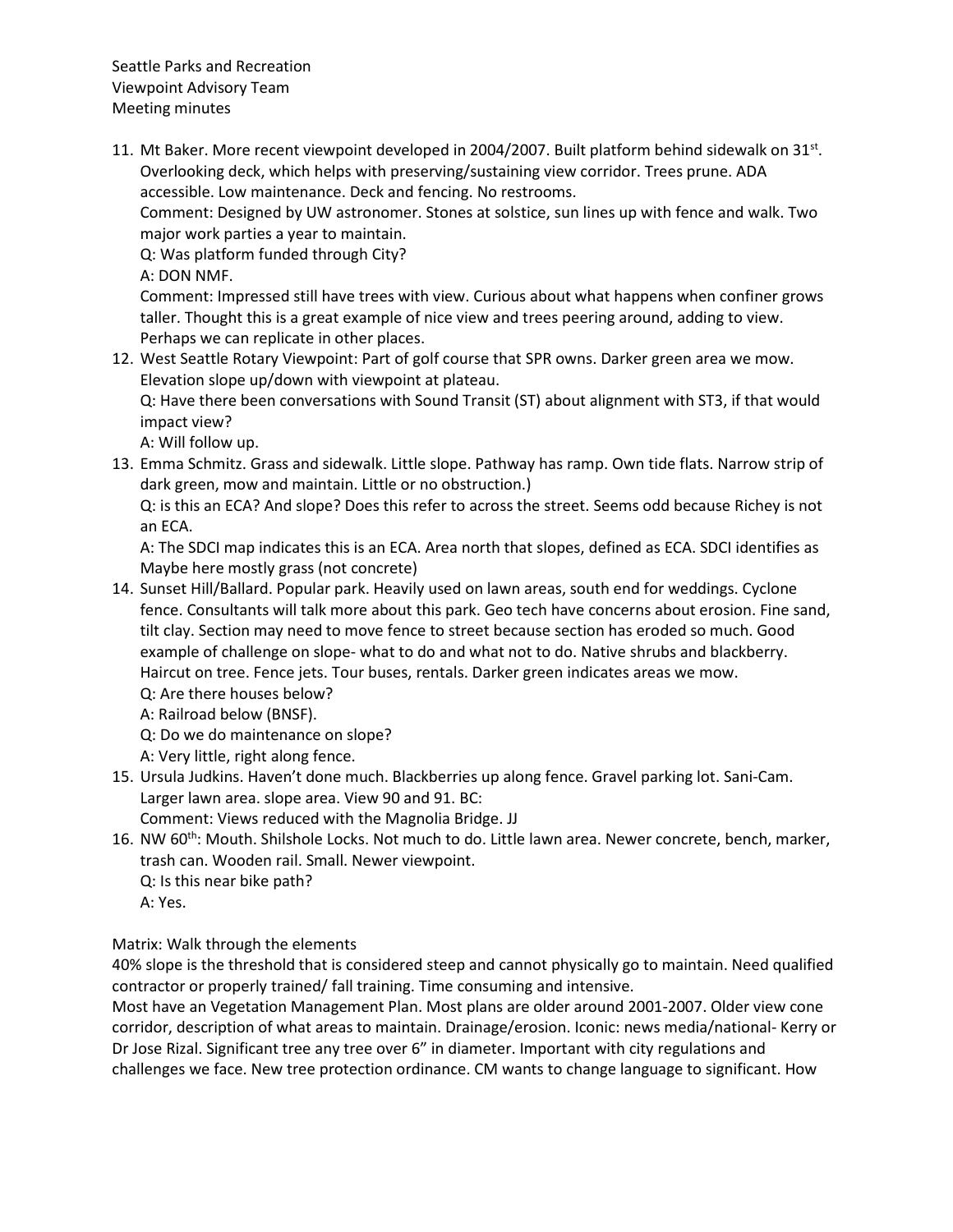11. Mt Baker. More recent viewpoint developed in 2004/2007. Built platform behind sidewalk on  $31^{st}$ . Overlooking deck, which helps with preserving/sustaining view corridor. Trees prune. ADA accessible. Low maintenance. Deck and fencing. No restrooms.

Comment: Designed by UW astronomer. Stones at solstice, sun lines up with fence and walk. Two major work parties a year to maintain.

Q: Was platform funded through City?

A: DON NMF.

Comment: Impressed still have trees with view. Curious about what happens when confiner grows taller. Thought this is a great example of nice view and trees peering around, adding to view. Perhaps we can replicate in other places.

12. West Seattle Rotary Viewpoint: Part of golf course that SPR owns. Darker green area we mow. Elevation slope up/down with viewpoint at plateau.

Q: Have there been conversations with Sound Transit (ST) about alignment with ST3, if that would impact view?

A: Will follow up.

13. Emma Schmitz. Grass and sidewalk. Little slope. Pathway has ramp. Own tide flats. Narrow strip of dark green, mow and maintain. Little or no obstruction.)

Q: is this an ECA? And slope? Does this refer to across the street. Seems odd because Richey is not an ECA.

A: The SDCI map indicates this is an ECA. Area north that slopes, defined as ECA. SDCI identifies as Maybe here mostly grass (not concrete)

- 14. Sunset Hill/Ballard. Popular park. Heavily used on lawn areas, south end for weddings. Cyclone fence. Consultants will talk more about this park. Geo tech have concerns about erosion. Fine sand, tilt clay. Section may need to move fence to street because section has eroded so much. Good example of challenge on slope- what to do and what not to do. Native shrubs and blackberry. Haircut on tree. Fence jets. Tour buses, rentals. Darker green indicates areas we mow.
	- Q: Are there houses below?
	- A: Railroad below (BNSF).
	- Q: Do we do maintenance on slope?
	- A: Very little, right along fence.
- 15. Ursula Judkins. Haven't done much. Blackberries up along fence. Gravel parking lot. Sani-Cam. Larger lawn area. slope area. View 90 and 91. BC:

Comment: Views reduced with the Magnolia Bridge. JJ

- 16. NW 60<sup>th</sup>: Mouth. Shilshole Locks. Not much to do. Little lawn area. Newer concrete, bench, marker, trash can. Wooden rail. Small. Newer viewpoint.
	- Q: Is this near bike path?
	- A: Yes.

Matrix: Walk through the elements

40% slope is the threshold that is considered steep and cannot physically go to maintain. Need qualified contractor or properly trained/ fall training. Time consuming and intensive.

Most have an Vegetation Management Plan. Most plans are older around 2001-2007. Older view cone corridor, description of what areas to maintain. Drainage/erosion. Iconic: news media/national- Kerry or Dr Jose Rizal. Significant tree any tree over 6" in diameter. Important with city regulations and challenges we face. New tree protection ordinance. CM wants to change language to significant. How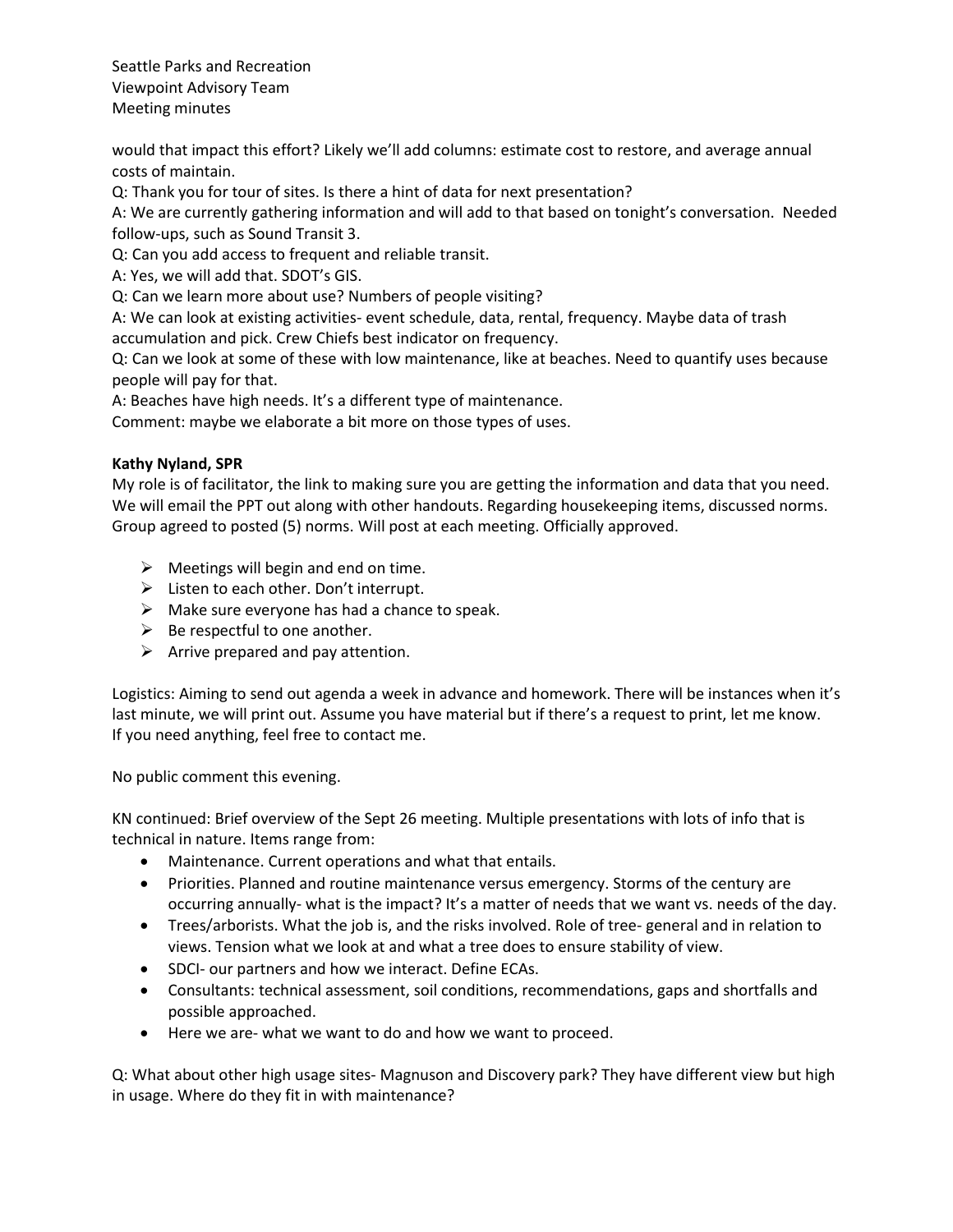would that impact this effort? Likely we'll add columns: estimate cost to restore, and average annual costs of maintain.

Q: Thank you for tour of sites. Is there a hint of data for next presentation?

A: We are currently gathering information and will add to that based on tonight's conversation. Needed follow-ups, such as Sound Transit 3.

Q: Can you add access to frequent and reliable transit.

A: Yes, we will add that. SDOT's GIS.

Q: Can we learn more about use? Numbers of people visiting?

A: We can look at existing activities- event schedule, data, rental, frequency. Maybe data of trash accumulation and pick. Crew Chiefs best indicator on frequency.

Q: Can we look at some of these with low maintenance, like at beaches. Need to quantify uses because people will pay for that.

A: Beaches have high needs. It's a different type of maintenance.

Comment: maybe we elaborate a bit more on those types of uses.

### **Kathy Nyland, SPR**

My role is of facilitator, the link to making sure you are getting the information and data that you need. We will email the PPT out along with other handouts. Regarding housekeeping items, discussed norms. Group agreed to posted (5) norms. Will post at each meeting. Officially approved.

- $\triangleright$  Meetings will begin and end on time.
- ➢ Listen to each other. Don't interrupt.
- $\triangleright$  Make sure everyone has had a chance to speak.
- $\triangleright$  Be respectful to one another.
- $\triangleright$  Arrive prepared and pay attention.

Logistics: Aiming to send out agenda a week in advance and homework. There will be instances when it's last minute, we will print out. Assume you have material but if there's a request to print, let me know. If you need anything, feel free to contact me.

No public comment this evening.

KN continued: Brief overview of the Sept 26 meeting. Multiple presentations with lots of info that is technical in nature. Items range from:

- Maintenance. Current operations and what that entails.
- Priorities. Planned and routine maintenance versus emergency. Storms of the century are occurring annually- what is the impact? It's a matter of needs that we want vs. needs of the day.
- Trees/arborists. What the job is, and the risks involved. Role of tree- general and in relation to views. Tension what we look at and what a tree does to ensure stability of view.
- SDCI- our partners and how we interact. Define ECAs.
- Consultants: technical assessment, soil conditions, recommendations, gaps and shortfalls and possible approached.
- Here we are- what we want to do and how we want to proceed.

Q: What about other high usage sites- Magnuson and Discovery park? They have different view but high in usage. Where do they fit in with maintenance?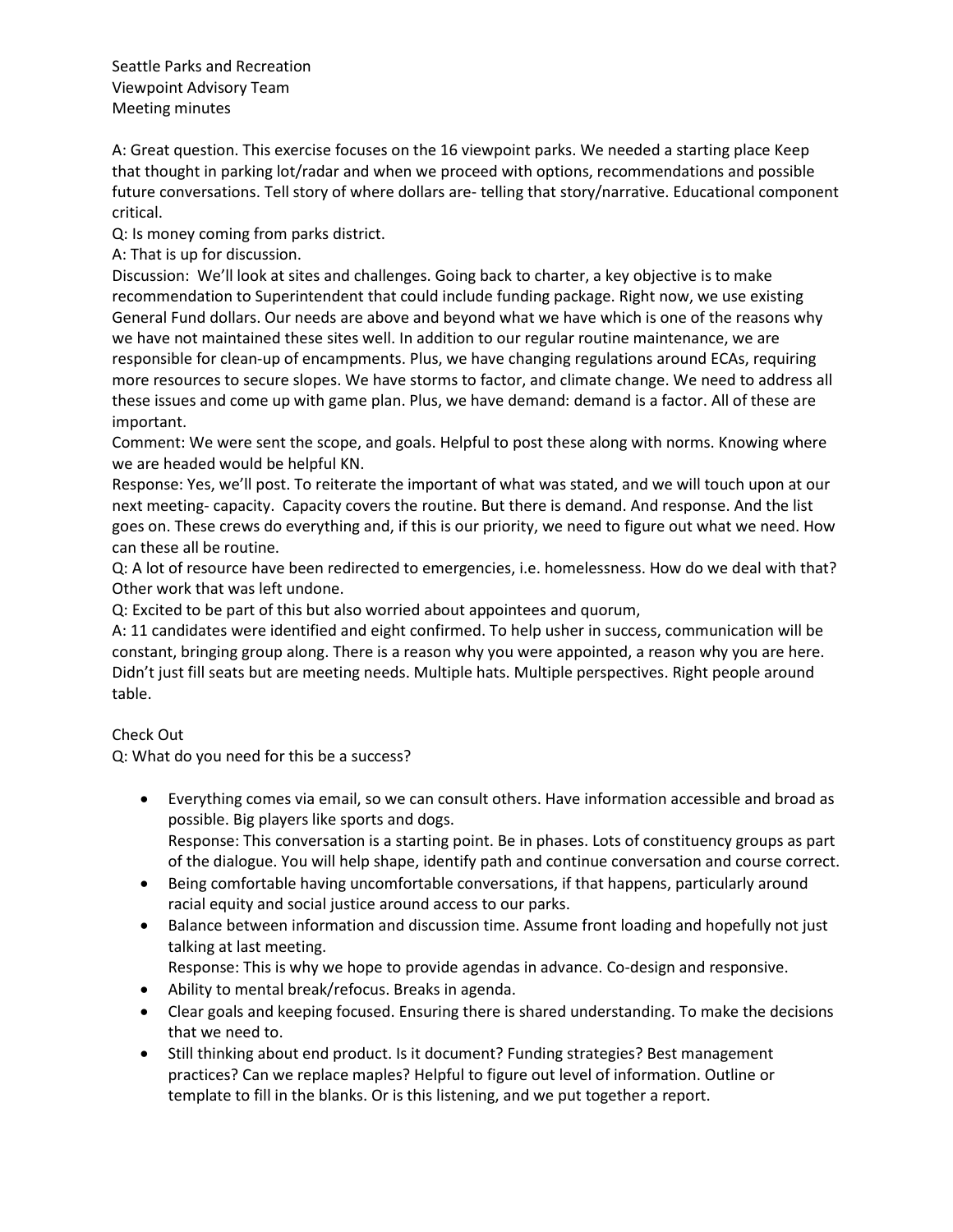A: Great question. This exercise focuses on the 16 viewpoint parks. We needed a starting place Keep that thought in parking lot/radar and when we proceed with options, recommendations and possible future conversations. Tell story of where dollars are- telling that story/narrative. Educational component critical.

Q: Is money coming from parks district.

A: That is up for discussion.

Discussion: We'll look at sites and challenges. Going back to charter, a key objective is to make recommendation to Superintendent that could include funding package. Right now, we use existing General Fund dollars. Our needs are above and beyond what we have which is one of the reasons why we have not maintained these sites well. In addition to our regular routine maintenance, we are responsible for clean-up of encampments. Plus, we have changing regulations around ECAs, requiring more resources to secure slopes. We have storms to factor, and climate change. We need to address all these issues and come up with game plan. Plus, we have demand: demand is a factor. All of these are important.

Comment: We were sent the scope, and goals. Helpful to post these along with norms. Knowing where we are headed would be helpful KN.

Response: Yes, we'll post. To reiterate the important of what was stated, and we will touch upon at our next meeting- capacity. Capacity covers the routine. But there is demand. And response. And the list goes on. These crews do everything and, if this is our priority, we need to figure out what we need. How can these all be routine.

Q: A lot of resource have been redirected to emergencies, i.e. homelessness. How do we deal with that? Other work that was left undone.

Q: Excited to be part of this but also worried about appointees and quorum,

A: 11 candidates were identified and eight confirmed. To help usher in success, communication will be constant, bringing group along. There is a reason why you were appointed, a reason why you are here. Didn't just fill seats but are meeting needs. Multiple hats. Multiple perspectives. Right people around table.

# Check Out

Q: What do you need for this be a success?

- Everything comes via email, so we can consult others. Have information accessible and broad as possible. Big players like sports and dogs. Response: This conversation is a starting point. Be in phases. Lots of constituency groups as part
- of the dialogue. You will help shape, identify path and continue conversation and course correct. • Being comfortable having uncomfortable conversations, if that happens, particularly around racial equity and social justice around access to our parks.
- Balance between information and discussion time. Assume front loading and hopefully not just talking at last meeting.

Response: This is why we hope to provide agendas in advance. Co-design and responsive.

- Ability to mental break/refocus. Breaks in agenda.
- Clear goals and keeping focused. Ensuring there is shared understanding. To make the decisions that we need to.
- Still thinking about end product. Is it document? Funding strategies? Best management practices? Can we replace maples? Helpful to figure out level of information. Outline or template to fill in the blanks. Or is this listening, and we put together a report.